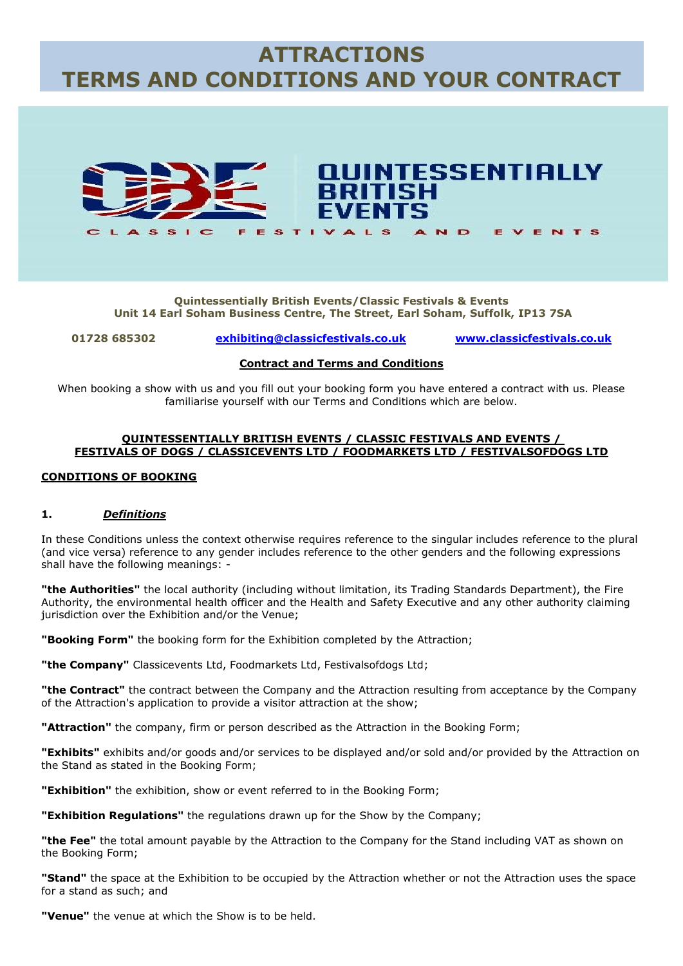# **ATTRACTIONS TERMS AND CONDITIONS AND YOUR CONTRACT**



**Quintessentially British Events/Classic Festivals & Events Unit 14 Earl Soham Business Centre, The Street, Earl Soham, Suffolk, IP13 7SA**

**01728 685302 [exhibiting@classicfestivals.co.uk](mailto:exhibiting@classicfestivals.co.uk) [www.classicfestivals.co.uk](http://www.classicfestivals.co.uk/)**

#### **Contract and Terms and Conditions**

When booking a show with us and you fill out your booking form you have entered a contract with us. Please familiarise yourself with our Terms and Conditions which are below.

#### **QUINTESSENTIALLY BRITISH EVENTS / CLASSIC FESTIVALS AND EVENTS / FESTIVALS OF DOGS / CLASSICEVENTS LTD / FOODMARKETS LTD / FESTIVALSOFDOGS LTD**

#### **CONDITIONS OF BOOKING**

#### **1.** *Definitions*

In these Conditions unless the context otherwise requires reference to the singular includes reference to the plural (and vice versa) reference to any gender includes reference to the other genders and the following expressions shall have the following meanings: -

**"the Authorities"** the local authority (including without limitation, its Trading Standards Department), the Fire Authority, the environmental health officer and the Health and Safety Executive and any other authority claiming jurisdiction over the Exhibition and/or the Venue;

**"Booking Form"** the booking form for the Exhibition completed by the Attraction;

**"the Company"** Classicevents Ltd, Foodmarkets Ltd, Festivalsofdogs Ltd;

**"the Contract"** the contract between the Company and the Attraction resulting from acceptance by the Company of the Attraction's application to provide a visitor attraction at the show;

**"Attraction"** the company, firm or person described as the Attraction in the Booking Form;

**"Exhibits"** exhibits and/or goods and/or services to be displayed and/or sold and/or provided by the Attraction on the Stand as stated in the Booking Form;

**"Exhibition"** the exhibition, show or event referred to in the Booking Form;

**"Exhibition Regulations"** the regulations drawn up for the Show by the Company;

**"the Fee"** the total amount payable by the Attraction to the Company for the Stand including VAT as shown on the Booking Form;

**"Stand"** the space at the Exhibition to be occupied by the Attraction whether or not the Attraction uses the space for a stand as such; and

**"Venue"** the venue at which the Show is to be held.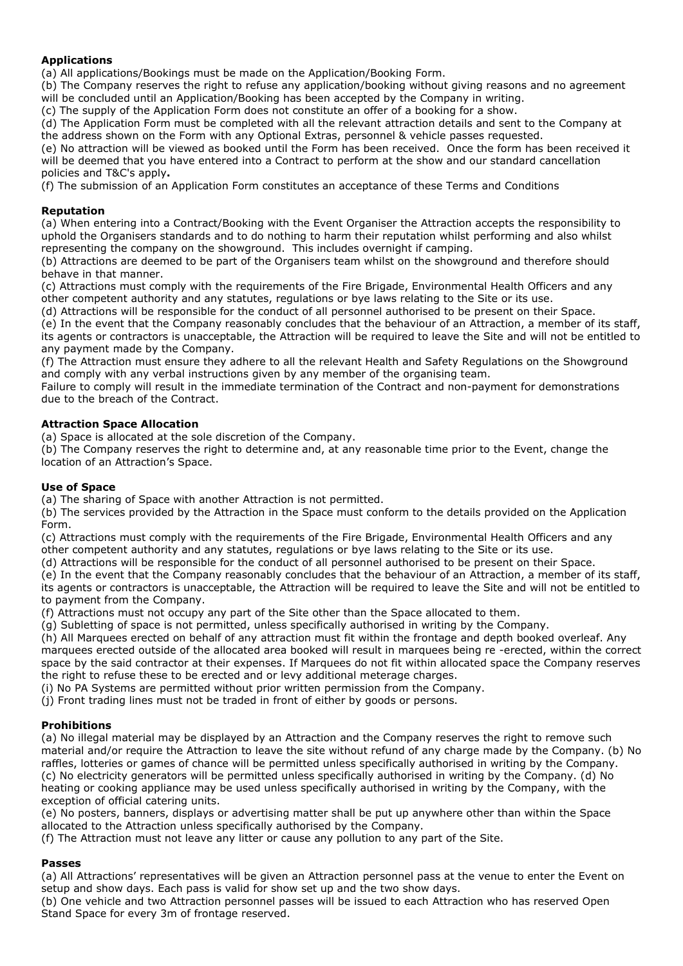# **Applications**

(a) All applications/Bookings must be made on the Application/Booking Form.

(b) The Company reserves the right to refuse any application/booking without giving reasons and no agreement will be concluded until an Application/Booking has been accepted by the Company in writing.

(c) The supply of the Application Form does not constitute an offer of a booking for a show.

(d) The Application Form must be completed with all the relevant attraction details and sent to the Company at the address shown on the Form with any Optional Extras, personnel & vehicle passes requested.

(e) No attraction will be viewed as booked until the Form has been received. Once the form has been received it will be deemed that you have entered into a Contract to perform at the show and our standard cancellation policies and T&C's apply**.**

(f) The submission of an Application Form constitutes an acceptance of these Terms and Conditions

## **Reputation**

(a) When entering into a Contract/Booking with the Event Organiser the Attraction accepts the responsibility to uphold the Organisers standards and to do nothing to harm their reputation whilst performing and also whilst representing the company on the showground. This includes overnight if camping.

(b) Attractions are deemed to be part of the Organisers team whilst on the showground and therefore should behave in that manner.

(c) Attractions must comply with the requirements of the Fire Brigade, Environmental Health Officers and any other competent authority and any statutes, regulations or bye laws relating to the Site or its use.

(d) Attractions will be responsible for the conduct of all personnel authorised to be present on their Space.

(e) In the event that the Company reasonably concludes that the behaviour of an Attraction, a member of its staff, its agents or contractors is unacceptable, the Attraction will be required to leave the Site and will not be entitled to any payment made by the Company.

(f) The Attraction must ensure they adhere to all the relevant Health and Safety Regulations on the Showground and comply with any verbal instructions given by any member of the organising team.

Failure to comply will result in the immediate termination of the Contract and non-payment for demonstrations due to the breach of the Contract.

## **Attraction Space Allocation**

(a) Space is allocated at the sole discretion of the Company.

(b) The Company reserves the right to determine and, at any reasonable time prior to the Event, change the location of an Attraction's Space.

### **Use of Space**

(a) The sharing of Space with another Attraction is not permitted.

(b) The services provided by the Attraction in the Space must conform to the details provided on the Application Form.

(c) Attractions must comply with the requirements of the Fire Brigade, Environmental Health Officers and any other competent authority and any statutes, regulations or bye laws relating to the Site or its use.

(d) Attractions will be responsible for the conduct of all personnel authorised to be present on their Space.

(e) In the event that the Company reasonably concludes that the behaviour of an Attraction, a member of its staff, its agents or contractors is unacceptable, the Attraction will be required to leave the Site and will not be entitled to to payment from the Company.

(f) Attractions must not occupy any part of the Site other than the Space allocated to them.

(g) Subletting of space is not permitted, unless specifically authorised in writing by the Company.

(h) All Marquees erected on behalf of any attraction must fit within the frontage and depth booked overleaf. Any marquees erected outside of the allocated area booked will result in marquees being re -erected, within the correct space by the said contractor at their expenses. If Marquees do not fit within allocated space the Company reserves the right to refuse these to be erected and or levy additional meterage charges.

(i) No PA Systems are permitted without prior written permission from the Company.

(j) Front trading lines must not be traded in front of either by goods or persons.

## **Prohibitions**

(a) No illegal material may be displayed by an Attraction and the Company reserves the right to remove such material and/or require the Attraction to leave the site without refund of any charge made by the Company. (b) No raffles, lotteries or games of chance will be permitted unless specifically authorised in writing by the Company. (c) No electricity generators will be permitted unless specifically authorised in writing by the Company. (d) No heating or cooking appliance may be used unless specifically authorised in writing by the Company, with the exception of official catering units.

(e) No posters, banners, displays or advertising matter shall be put up anywhere other than within the Space allocated to the Attraction unless specifically authorised by the Company.

(f) The Attraction must not leave any litter or cause any pollution to any part of the Site.

## **Passes**

(a) All Attractions' representatives will be given an Attraction personnel pass at the venue to enter the Event on setup and show days. Each pass is valid for show set up and the two show days.

(b) One vehicle and two Attraction personnel passes will be issued to each Attraction who has reserved Open Stand Space for every 3m of frontage reserved.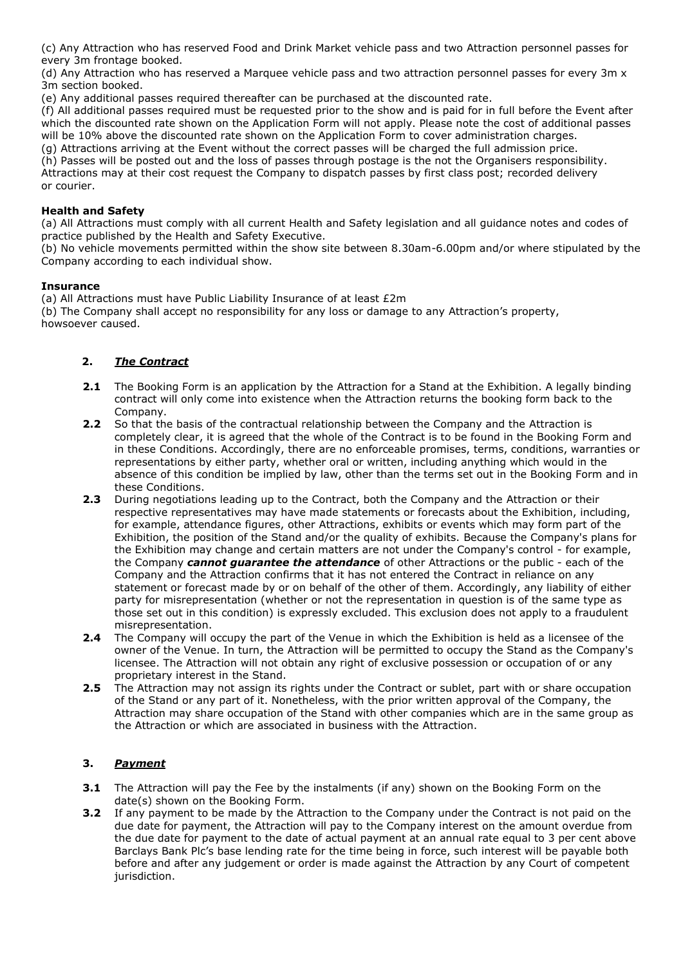(c) Any Attraction who has reserved Food and Drink Market vehicle pass and two Attraction personnel passes for every 3m frontage booked.

(d) Any Attraction who has reserved a Marquee vehicle pass and two attraction personnel passes for every 3m x 3m section booked.

(e) Any additional passes required thereafter can be purchased at the discounted rate.

(f) All additional passes required must be requested prior to the show and is paid for in full before the Event after which the discounted rate shown on the Application Form will not apply. Please note the cost of additional passes will be 10% above the discounted rate shown on the Application Form to cover administration charges.

(g) Attractions arriving at the Event without the correct passes will be charged the full admission price. (h) Passes will be posted out and the loss of passes through postage is the not the Organisers responsibility. Attractions may at their cost request the Company to dispatch passes by first class post; recorded delivery or courier.

## **Health and Safety**

(a) All Attractions must comply with all current Health and Safety legislation and all guidance notes and codes of practice published by the Health and Safety Executive.

(b) No vehicle movements permitted within the show site between 8.30am-6.00pm and/or where stipulated by the Company according to each individual show.

## **Insurance**

(a) All Attractions must have Public Liability Insurance of at least £2m

(b) The Company shall accept no responsibility for any loss or damage to any Attraction's property, howsoever caused.

# **2.** *The Contract*

- **2.1** The Booking Form is an application by the Attraction for a Stand at the Exhibition. A legally binding contract will only come into existence when the Attraction returns the booking form back to the Company.
- **2.2** So that the basis of the contractual relationship between the Company and the Attraction is completely clear, it is agreed that the whole of the Contract is to be found in the Booking Form and in these Conditions. Accordingly, there are no enforceable promises, terms, conditions, warranties or representations by either party, whether oral or written, including anything which would in the absence of this condition be implied by law, other than the terms set out in the Booking Form and in these Conditions.
- **2.3** During negotiations leading up to the Contract, both the Company and the Attraction or their respective representatives may have made statements or forecasts about the Exhibition, including, for example, attendance figures, other Attractions, exhibits or events which may form part of the Exhibition, the position of the Stand and/or the quality of exhibits. Because the Company's plans for the Exhibition may change and certain matters are not under the Company's control - for example, the Company *cannot guarantee the attendance* of other Attractions or the public - each of the Company and the Attraction confirms that it has not entered the Contract in reliance on any statement or forecast made by or on behalf of the other of them. Accordingly, any liability of either party for misrepresentation (whether or not the representation in question is of the same type as those set out in this condition) is expressly excluded. This exclusion does not apply to a fraudulent misrepresentation.
- **2.4** The Company will occupy the part of the Venue in which the Exhibition is held as a licensee of the owner of the Venue. In turn, the Attraction will be permitted to occupy the Stand as the Company's licensee. The Attraction will not obtain any right of exclusive possession or occupation of or any proprietary interest in the Stand.
- **2.5** The Attraction may not assign its rights under the Contract or sublet, part with or share occupation of the Stand or any part of it. Nonetheless, with the prior written approval of the Company, the Attraction may share occupation of the Stand with other companies which are in the same group as the Attraction or which are associated in business with the Attraction.

## **3.** *Payment*

- **3.1** The Attraction will pay the Fee by the instalments (if any) shown on the Booking Form on the date(s) shown on the Booking Form.
- **3.2** If any payment to be made by the Attraction to the Company under the Contract is not paid on the due date for payment, the Attraction will pay to the Company interest on the amount overdue from the due date for payment to the date of actual payment at an annual rate equal to 3 per cent above Barclays Bank Plc's base lending rate for the time being in force, such interest will be payable both before and after any judgement or order is made against the Attraction by any Court of competent jurisdiction.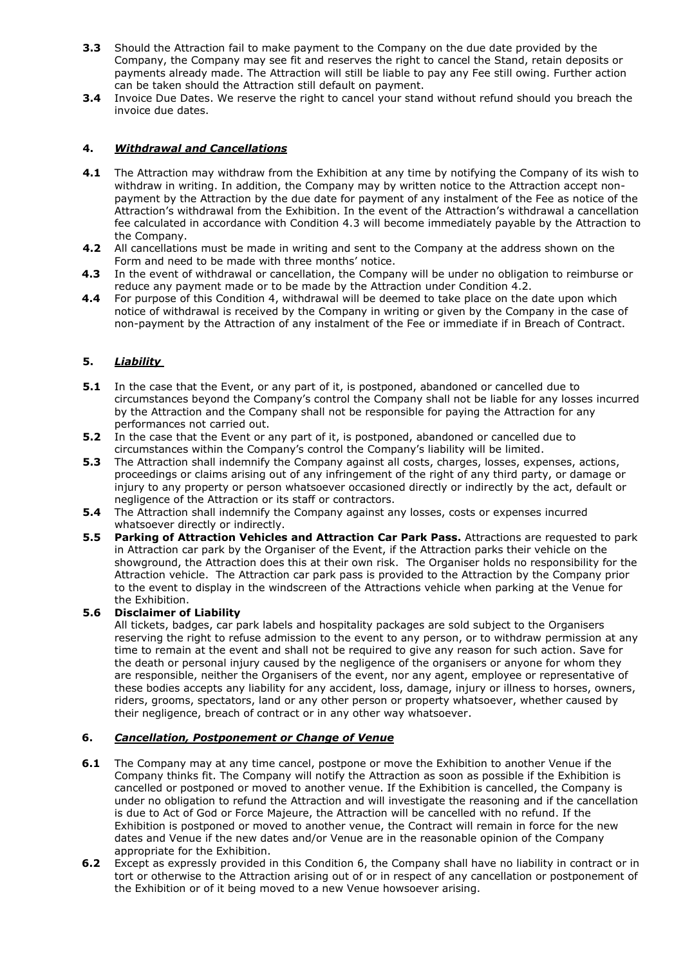- **3.3** Should the Attraction fail to make payment to the Company on the due date provided by the Company, the Company may see fit and reserves the right to cancel the Stand, retain deposits or payments already made. The Attraction will still be liable to pay any Fee still owing. Further action can be taken should the Attraction still default on payment.
- **3.4** Invoice Due Dates. We reserve the right to cancel your stand without refund should you breach the invoice due dates.

## **4.** *Withdrawal and Cancellations*

- **4.1** The Attraction may withdraw from the Exhibition at any time by notifying the Company of its wish to withdraw in writing. In addition, the Company may by written notice to the Attraction accept nonpayment by the Attraction by the due date for payment of any instalment of the Fee as notice of the Attraction's withdrawal from the Exhibition. In the event of the Attraction's withdrawal a cancellation fee calculated in accordance with Condition 4.3 will become immediately payable by the Attraction to the Company.
- **4.2** All cancellations must be made in writing and sent to the Company at the address shown on the Form and need to be made with three months' notice.
- **4.3** In the event of withdrawal or cancellation, the Company will be under no obligation to reimburse or reduce any payment made or to be made by the Attraction under Condition 4.2.
- **4.4** For purpose of this Condition 4, withdrawal will be deemed to take place on the date upon which notice of withdrawal is received by the Company in writing or given by the Company in the case of non-payment by the Attraction of any instalment of the Fee or immediate if in Breach of Contract.

## **5.** *Liability*

- **5.1** In the case that the Event, or any part of it, is postponed, abandoned or cancelled due to circumstances beyond the Company's control the Company shall not be liable for any losses incurred by the Attraction and the Company shall not be responsible for paying the Attraction for any performances not carried out.
- **5.2** In the case that the Event or any part of it, is postponed, abandoned or cancelled due to circumstances within the Company's control the Company's liability will be limited.
- **5.3** The Attraction shall indemnify the Company against all costs, charges, losses, expenses, actions, proceedings or claims arising out of any infringement of the right of any third party, or damage or injury to any property or person whatsoever occasioned directly or indirectly by the act, default or negligence of the Attraction or its staff or contractors.
- **5.4** The Attraction shall indemnify the Company against any losses, costs or expenses incurred whatsoever directly or indirectly.
- **5.5 Parking of Attraction Vehicles and Attraction Car Park Pass.** Attractions are requested to park in Attraction car park by the Organiser of the Event, if the Attraction parks their vehicle on the showground, the Attraction does this at their own risk. The Organiser holds no responsibility for the Attraction vehicle. The Attraction car park pass is provided to the Attraction by the Company prior to the event to display in the windscreen of the Attractions vehicle when parking at the Venue for the Exhibition.

#### **5.6 Disclaimer of Liability**

All tickets, badges, car park labels and hospitality packages are sold subject to the Organisers reserving the right to refuse admission to the event to any person, or to withdraw permission at any time to remain at the event and shall not be required to give any reason for such action. Save for the death or personal injury caused by the negligence of the organisers or anyone for whom they are responsible, neither the Organisers of the event, nor any agent, employee or representative of these bodies accepts any liability for any accident, loss, damage, injury or illness to horses, owners, riders, grooms, spectators, land or any other person or property whatsoever, whether caused by their negligence, breach of contract or in any other way whatsoever.

#### **6.** *Cancellation, Postponement or Change of Venue*

- **6.1** The Company may at any time cancel, postpone or move the Exhibition to another Venue if the Company thinks fit. The Company will notify the Attraction as soon as possible if the Exhibition is cancelled or postponed or moved to another venue. If the Exhibition is cancelled, the Company is under no obligation to refund the Attraction and will investigate the reasoning and if the cancellation is due to Act of God or Force Majeure, the Attraction will be cancelled with no refund. If the Exhibition is postponed or moved to another venue, the Contract will remain in force for the new dates and Venue if the new dates and/or Venue are in the reasonable opinion of the Company appropriate for the Exhibition.
- **6.2** Except as expressly provided in this Condition 6, the Company shall have no liability in contract or in tort or otherwise to the Attraction arising out of or in respect of any cancellation or postponement of the Exhibition or of it being moved to a new Venue howsoever arising.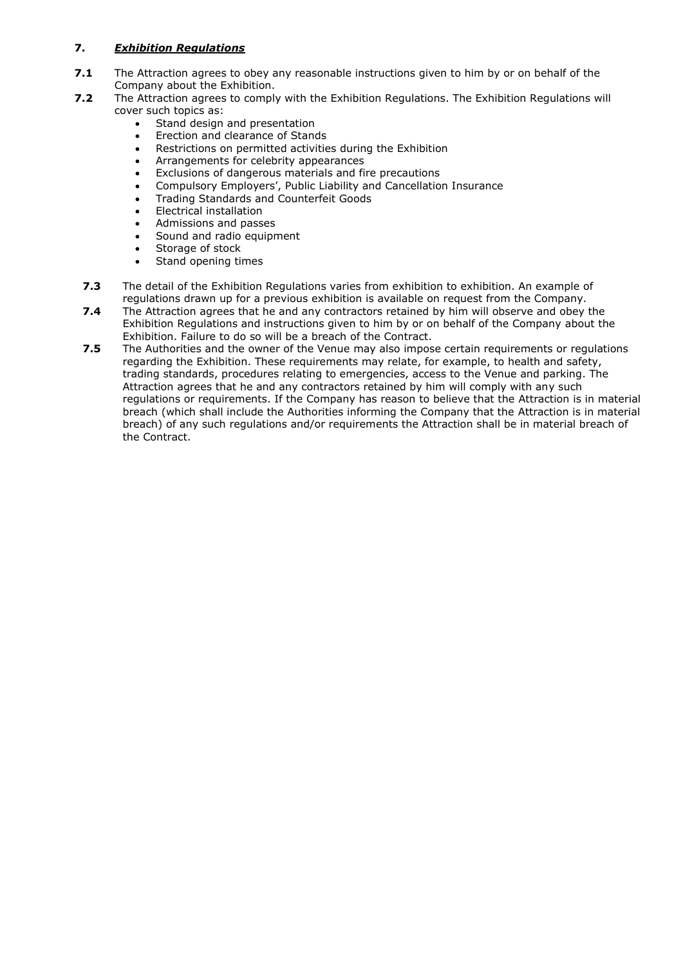# **7.** *Exhibition Regulations*

- **7.1** The Attraction agrees to obey any reasonable instructions given to him by or on behalf of the Company about the Exhibition.
- **7.2** The Attraction agrees to comply with the Exhibition Regulations. The Exhibition Regulations will cover such topics as:
	- Stand design and presentation
	- Erection and clearance of Stands
	- Restrictions on permitted activities during the Exhibition
	- Arrangements for celebrity appearances
	- Exclusions of dangerous materials and fire precautions
	- Compulsory Employers', Public Liability and Cancellation Insurance
	- Trading Standards and Counterfeit Goods
	- Electrical installation
	- Admissions and passes
	- Sound and radio equipment
	- Storage of stock
	- Stand opening times
	- **7.3** The detail of the Exhibition Regulations varies from exhibition to exhibition. An example of regulations drawn up for a previous exhibition is available on request from the Company.
	- **7.4** The Attraction agrees that he and any contractors retained by him will observe and obey the Exhibition Regulations and instructions given to him by or on behalf of the Company about the Exhibition. Failure to do so will be a breach of the Contract.
	- **7.5** The Authorities and the owner of the Venue may also impose certain requirements or regulations regarding the Exhibition. These requirements may relate, for example, to health and safety, trading standards, procedures relating to emergencies, access to the Venue and parking. The Attraction agrees that he and any contractors retained by him will comply with any such regulations or requirements. If the Company has reason to believe that the Attraction is in material breach (which shall include the Authorities informing the Company that the Attraction is in material breach) of any such regulations and/or requirements the Attraction shall be in material breach of the Contract.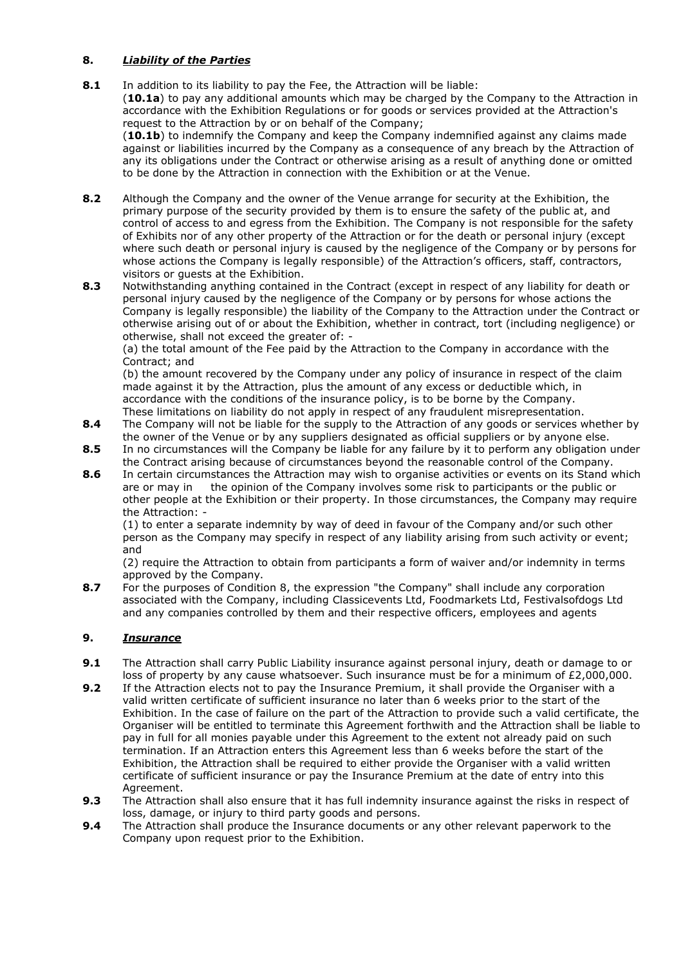## **8.** *Liability of the Parties*

- **8.1** In addition to its liability to pay the Fee, the Attraction will be liable: (**10.1a**) to pay any additional amounts which may be charged by the Company to the Attraction in accordance with the Exhibition Regulations or for goods or services provided at the Attraction's request to the Attraction by or on behalf of the Company; (**10.1b**) to indemnify the Company and keep the Company indemnified against any claims made against or liabilities incurred by the Company as a consequence of any breach by the Attraction of any its obligations under the Contract or otherwise arising as a result of anything done or omitted to be done by the Attraction in connection with the Exhibition or at the Venue.
- **8.2** Although the Company and the owner of the Venue arrange for security at the Exhibition, the primary purpose of the security provided by them is to ensure the safety of the public at, and control of access to and egress from the Exhibition. The Company is not responsible for the safety of Exhibits nor of any other property of the Attraction or for the death or personal injury (except where such death or personal injury is caused by the negligence of the Company or by persons for whose actions the Company is legally responsible) of the Attraction's officers, staff, contractors, visitors or guests at the Exhibition.
- **8.3** Notwithstanding anything contained in the Contract (except in respect of any liability for death or personal injury caused by the negligence of the Company or by persons for whose actions the Company is legally responsible) the liability of the Company to the Attraction under the Contract or otherwise arising out of or about the Exhibition, whether in contract, tort (including negligence) or otherwise, shall not exceed the greater of: -

(a) the total amount of the Fee paid by the Attraction to the Company in accordance with the Contract; and

(b) the amount recovered by the Company under any policy of insurance in respect of the claim made against it by the Attraction, plus the amount of any excess or deductible which, in accordance with the conditions of the insurance policy, is to be borne by the Company. These limitations on liability do not apply in respect of any fraudulent misrepresentation.

- **8.4** The Company will not be liable for the supply to the Attraction of any goods or services whether by the owner of the Venue or by any suppliers designated as official suppliers or by anyone else.
- **8.5** In no circumstances will the Company be liable for any failure by it to perform any obligation under the Contract arising because of circumstances beyond the reasonable control of the Company.
- **8.6** In certain circumstances the Attraction may wish to organise activities or events on its Stand which are or may in the opinion of the Company involves some risk to participants or the public or other people at the Exhibition or their property. In those circumstances, the Company may require the Attraction: -

(1) to enter a separate indemnity by way of deed in favour of the Company and/or such other person as the Company may specify in respect of any liability arising from such activity or event; and

(2) require the Attraction to obtain from participants a form of waiver and/or indemnity in terms approved by the Company.

**8.7** For the purposes of Condition 8, the expression "the Company" shall include any corporation associated with the Company, including Classicevents Ltd, Foodmarkets Ltd, Festivalsofdogs Ltd and any companies controlled by them and their respective officers, employees and agents

## **9.** *Insurance*

- **9.1** The Attraction shall carry Public Liability insurance against personal injury, death or damage to or loss of property by any cause whatsoever. Such insurance must be for a minimum of £2,000,000.
- **9.2** If the Attraction elects not to pay the Insurance Premium, it shall provide the Organiser with a valid written certificate of sufficient insurance no later than 6 weeks prior to the start of the Exhibition. In the case of failure on the part of the Attraction to provide such a valid certificate, the Organiser will be entitled to terminate this Agreement forthwith and the Attraction shall be liable to pay in full for all monies payable under this Agreement to the extent not already paid on such termination. If an Attraction enters this Agreement less than 6 weeks before the start of the Exhibition, the Attraction shall be required to either provide the Organiser with a valid written certificate of sufficient insurance or pay the Insurance Premium at the date of entry into this Agreement.
- **9.3** The Attraction shall also ensure that it has full indemnity insurance against the risks in respect of loss, damage, or injury to third party goods and persons.
- **9.4** The Attraction shall produce the Insurance documents or any other relevant paperwork to the Company upon request prior to the Exhibition.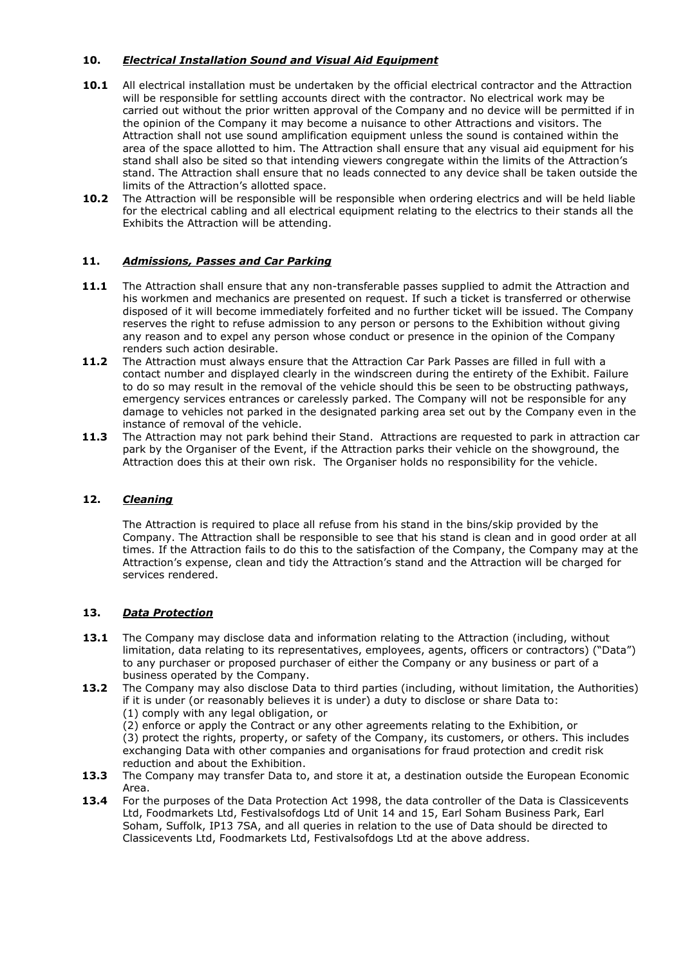## **10.** *Electrical Installation Sound and Visual Aid Equipment*

- **10.1** All electrical installation must be undertaken by the official electrical contractor and the Attraction will be responsible for settling accounts direct with the contractor. No electrical work may be carried out without the prior written approval of the Company and no device will be permitted if in the opinion of the Company it may become a nuisance to other Attractions and visitors. The Attraction shall not use sound amplification equipment unless the sound is contained within the area of the space allotted to him. The Attraction shall ensure that any visual aid equipment for his stand shall also be sited so that intending viewers congregate within the limits of the Attraction's stand. The Attraction shall ensure that no leads connected to any device shall be taken outside the limits of the Attraction's allotted space.
- **10.2** The Attraction will be responsible will be responsible when ordering electrics and will be held liable for the electrical cabling and all electrical equipment relating to the electrics to their stands all the Exhibits the Attraction will be attending.

# **11.** *Admissions, Passes and Car Parking*

- **11.1** The Attraction shall ensure that any non-transferable passes supplied to admit the Attraction and his workmen and mechanics are presented on request. If such a ticket is transferred or otherwise disposed of it will become immediately forfeited and no further ticket will be issued. The Company reserves the right to refuse admission to any person or persons to the Exhibition without giving any reason and to expel any person whose conduct or presence in the opinion of the Company renders such action desirable.
- **11.2** The Attraction must always ensure that the Attraction Car Park Passes are filled in full with a contact number and displayed clearly in the windscreen during the entirety of the Exhibit. Failure to do so may result in the removal of the vehicle should this be seen to be obstructing pathways, emergency services entrances or carelessly parked. The Company will not be responsible for any damage to vehicles not parked in the designated parking area set out by the Company even in the instance of removal of the vehicle.
- **11.3** The Attraction may not park behind their Stand. Attractions are requested to park in attraction car park by the Organiser of the Event, if the Attraction parks their vehicle on the showground, the Attraction does this at their own risk. The Organiser holds no responsibility for the vehicle.

## **12.** *Cleaning*

The Attraction is required to place all refuse from his stand in the bins/skip provided by the Company. The Attraction shall be responsible to see that his stand is clean and in good order at all times. If the Attraction fails to do this to the satisfaction of the Company, the Company may at the Attraction's expense, clean and tidy the Attraction's stand and the Attraction will be charged for services rendered.

## **13.** *Data Protection*

- **13.1** The Company may disclose data and information relating to the Attraction (including, without limitation, data relating to its representatives, employees, agents, officers or contractors) ("Data") to any purchaser or proposed purchaser of either the Company or any business or part of a business operated by the Company.
- 13.2 The Company may also disclose Data to third parties (including, without limitation, the Authorities) if it is under (or reasonably believes it is under) a duty to disclose or share Data to: (1) comply with any legal obligation, or

(2) enforce or apply the Contract or any other agreements relating to the Exhibition, or (3) protect the rights, property, or safety of the Company, its customers, or others. This includes exchanging Data with other companies and organisations for fraud protection and credit risk reduction and about the Exhibition.

- **13.3** The Company may transfer Data to, and store it at, a destination outside the European Economic Area.
- 13.4 For the purposes of the Data Protection Act 1998, the data controller of the Data is Classicevents Ltd, Foodmarkets Ltd, Festivalsofdogs Ltd of Unit 14 and 15, Earl Soham Business Park, Earl Soham, Suffolk, IP13 7SA, and all queries in relation to the use of Data should be directed to Classicevents Ltd, Foodmarkets Ltd, Festivalsofdogs Ltd at the above address.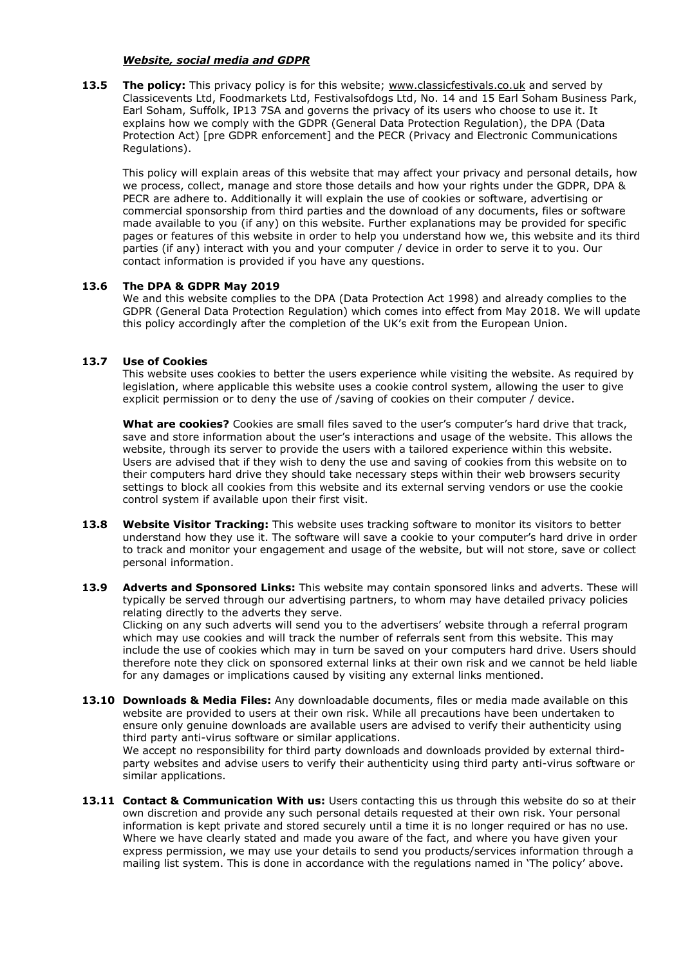#### *Website, social media and GDPR*

**13.5 The policy:** This privacy policy is for this website; **[www.classicfestivals.co.uk](http://www.classicfestivals.co.uk/)** and served by Classicevents Ltd, Foodmarkets Ltd, Festivalsofdogs Ltd, No. 14 and 15 Earl Soham Business Park, Earl Soham, Suffolk, IP13 7SA and governs the privacy of its users who choose to use it. It explains how we comply with the GDPR (General Data Protection Regulation), the DPA (Data Protection Act) [pre GDPR enforcement] and the PECR (Privacy and Electronic Communications Regulations).

This policy will explain areas of this website that may affect your privacy and personal details, how we process, collect, manage and store those details and how your rights under the GDPR, DPA & PECR are adhere to. Additionally it will explain the use of cookies or software, advertising or commercial sponsorship from third parties and the download of any documents, files or software made available to you (if any) on this website. Further explanations may be provided for specific pages or features of this website in order to help you understand how we, this website and its third parties (if any) interact with you and your computer / device in order to serve it to you. Our contact information is provided if you have any questions.

#### **13.6 The DPA & GDPR May 2019**

We and this website complies to the DPA (Data Protection Act 1998) and already complies to the GDPR (General Data Protection Regulation) which comes into effect from May 2018. We will update this policy accordingly after the completion of the UK's exit from the European Union.

#### **13.7 Use of Cookies**

This website uses cookies to better the users experience while visiting the website. As required by legislation, where applicable this website uses a cookie control system, allowing the user to give explicit permission or to deny the use of /saving of cookies on their computer / device.

**What are cookies?** Cookies are small files saved to the user's computer's hard drive that track, save and store information about the user's interactions and usage of the website. This allows the website, through its server to provide the users with a tailored experience within this website. Users are advised that if they wish to deny the use and saving of cookies from this website on to their computers hard drive they should take necessary steps within their web browsers security settings to block all cookies from this website and its external serving vendors or use the cookie control system if available upon their first visit.

- **13.8 Website Visitor Tracking:** This website uses tracking software to monitor its visitors to better understand how they use it. The software will save a cookie to your computer's hard drive in order to track and monitor your engagement and usage of the website, but will not store, save or collect personal information.
- **13.9 Adverts and Sponsored Links:** This website may contain sponsored links and adverts. These will typically be served through our advertising partners, to whom may have detailed privacy policies relating directly to the adverts they serve.

Clicking on any such adverts will send you to the advertisers' website through a referral program which may use cookies and will track the number of referrals sent from this website. This may include the use of cookies which may in turn be saved on your computers hard drive. Users should therefore note they click on sponsored external links at their own risk and we cannot be held liable for any damages or implications caused by visiting any external links mentioned.

**13.10 Downloads & Media Files:** Any downloadable documents, files or media made available on this website are provided to users at their own risk. While all precautions have been undertaken to ensure only genuine downloads are available users are advised to verify their authenticity using third party anti-virus software or similar applications.

We accept no responsibility for third party downloads and downloads provided by external thirdparty websites and advise users to verify their authenticity using third party anti-virus software or similar applications.

**13.11 Contact & Communication With us:** Users contacting this us through this website do so at their own discretion and provide any such personal details requested at their own risk. Your personal information is kept private and stored securely until a time it is no longer required or has no use. Where we have clearly stated and made you aware of the fact, and where you have given your express permission, we may use your details to send you products/services information through a mailing list system. This is done in accordance with the regulations named in 'The policy' above.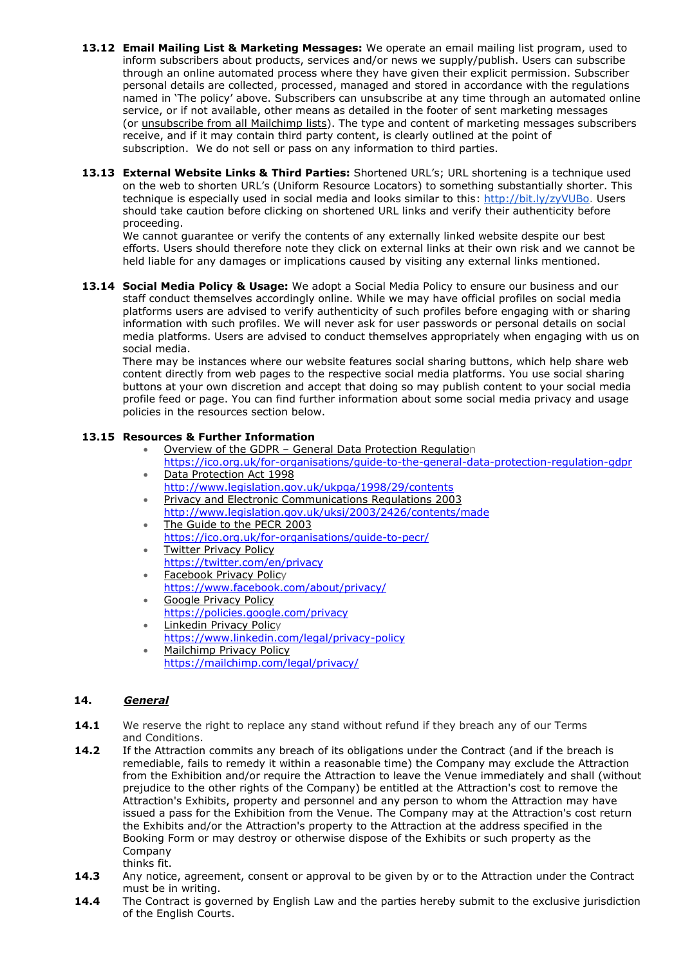- **13.12 Email Mailing List & Marketing Messages:** We operate an email mailing list program, used to inform subscribers about products, services and/or news we supply/publish. Users can subscribe through an online automated process where they have given their explicit permission. Subscriber personal details are collected, processed, managed and stored in accordance with the regulations named in 'The policy' above. Subscribers can unsubscribe at any time through an automated online service, or if not available, other means as detailed in the footer of sent marketing messages (or [unsubscribe](http://jamieking.co.uk/blog/email-marketing/unsubscribe-from-all-global-mailchimp-lists.html) from all Mailchimp lists). The type and content of marketing messages subscribers receive, and if it may contain third party content, is clearly outlined at the point of subscription. We do not sell or pass on any information to third parties.
- **13.13 External Website Links & Third Parties:** Shortened URL's; URL shortening is a technique used on the web to shorten URL's (Uniform Resource Locators) to something substantially shorter. This technique is especially used in social media and looks similar to this: [http://bit.ly/zyVUBo.](http://bit.ly/zyVUBo) Users should take caution before clicking on shortened URL links and verify their authenticity before proceeding.

We cannot guarantee or verify the contents of any externally linked website despite our best efforts. Users should therefore note they click on external links at their own risk and we cannot be held liable for any damages or implications caused by visiting any external links mentioned.

**13.14 Social Media Policy & Usage:** We adopt a Social Media Policy to ensure our business and our staff conduct themselves accordingly online. While we may have official profiles on social media platforms users are advised to verify authenticity of such profiles before engaging with or sharing information with such profiles. We will never ask for user passwords or personal details on social media platforms. Users are advised to conduct themselves appropriately when engaging with us on social media.

There may be instances where our website features social sharing buttons, which help share web content directly from web pages to the respective social media platforms. You use social sharing buttons at your own discretion and accept that doing so may publish content to your social media profile feed or page. You can find further information about some social media privacy and usage policies in the resources section below.

## **13.15 Resources & Further Information**

- Overview of the GDPR General Data [Protection](https://ico.org.uk/for-organisations/data-protection-reform/overview-of-the-gdpr/) Regulation
- <https://ico.org.uk/for-organisations/guide-to-the-general-data-protection-regulation-gdpr> Data [Protection](http://www.legislation.gov.uk/ukpga/1998/29/contents) Act 1998
- <http://www.legislation.gov.uk/ukpga/1998/29/contents>
- Privacy and Electronic [Communications](http://www.legislation.gov.uk/uksi/2003/2426/contents/made) Regulations 2003 <http://www.legislation.gov.uk/uksi/2003/2426/contents/made> The [Guide](https://ico.org.uk/for-organisations/guide-to-pecr/) to the PECR 2003
- <https://ico.org.uk/for-organisations/guide-to-pecr/> **Twitter [Privacy](http://twitter.com/privacy) Policy**
- <https://twitter.com/en/privacy>
- **[Facebook](http://www.facebook.com/about/privacy/) Privacy Policy**
- <https://www.facebook.com/about/privacy/>
- Google [Privacy](http://www.google.com/privacy.html) Policy <https://policies.google.com/privacy> • [Linkedin](http://www.linkedin.com/static?key=privacy_policy) Privacy Policy
- <https://www.linkedin.com/legal/privacy-policy> • [Mailchimp](http://mailchimp.com/legal/privacy/) Privacy Policy
- <https://mailchimp.com/legal/privacy/>

# **14.** *General*

- **14.1** We reserve the right to replace any stand without refund if they breach any of our Terms and Conditions.
- **14.2** If the Attraction commits any breach of its obligations under the Contract (and if the breach is remediable, fails to remedy it within a reasonable time) the Company may exclude the Attraction from the Exhibition and/or require the Attraction to leave the Venue immediately and shall (without prejudice to the other rights of the Company) be entitled at the Attraction's cost to remove the Attraction's Exhibits, property and personnel and any person to whom the Attraction may have issued a pass for the Exhibition from the Venue. The Company may at the Attraction's cost return the Exhibits and/or the Attraction's property to the Attraction at the address specified in the Booking Form or may destroy or otherwise dispose of the Exhibits or such property as the Company thinks fit.
- **14.3** Any notice, agreement, consent or approval to be given by or to the Attraction under the Contract must be in writing.
- **14.4** The Contract is governed by English Law and the parties hereby submit to the exclusive jurisdiction of the English Courts.